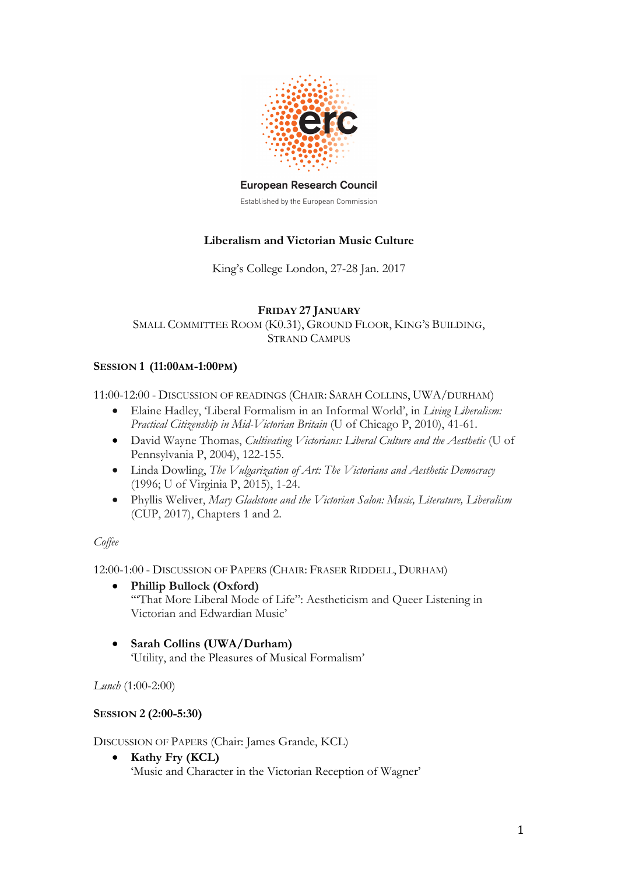

#### **European Research Council**

Established by the European Commission

# **Liberalism and Victorian Music Culture**

King's College London, 27-28 Jan. 2017

### **FRIDAY 27 JANUARY**

SMALL COMMITTEE ROOM (K0.31), GROUND FLOOR, KING'S BUILDING, STRAND CAMPUS

## **SESSION 1 (11:00AM-1:00PM)**

11:00-12:00 - DISCUSSION OF READINGS (CHAIR: SARAH COLLINS, UWA/DURHAM)

- Elaine Hadley, 'Liberal Formalism in an Informal World', in *Living Liberalism: Practical Citizenship in Mid-Victorian Britain* (U of Chicago P, 2010), 41-61.
- David Wayne Thomas, *Cultivating Victorians: Liberal Culture and the Aesthetic* (U of Pennsylvania P, 2004), 122-155.
- Linda Dowling, *The Vulgarization of Art: The Victorians and Aesthetic Democracy*  (1996; U of Virginia P, 2015), 1-24.
- Phyllis Weliver, *Mary Gladstone and the Victorian Salon: Music, Literature, Liberalism* (CUP, 2017), Chapters 1 and 2.

#### *Coffee*

12:00-1:00 - DISCUSSION OF PAPERS (CHAIR: FRASER RIDDELL, DURHAM)

- **Phillip Bullock (Oxford)** '"That More Liberal Mode of Life": Aestheticism and Queer Listening in Victorian and Edwardian Music'
- **Sarah Collins (UWA/Durham)** 'Utility, and the Pleasures of Musical Formalism'

*Lunch* (1:00-2:00)

## **SESSION 2 (2:00-5:30)**

DISCUSSION OF PAPERS (Chair: James Grande, KCL)

• **Kathy Fry (KCL)** 'Music and Character in the Victorian Reception of Wagner'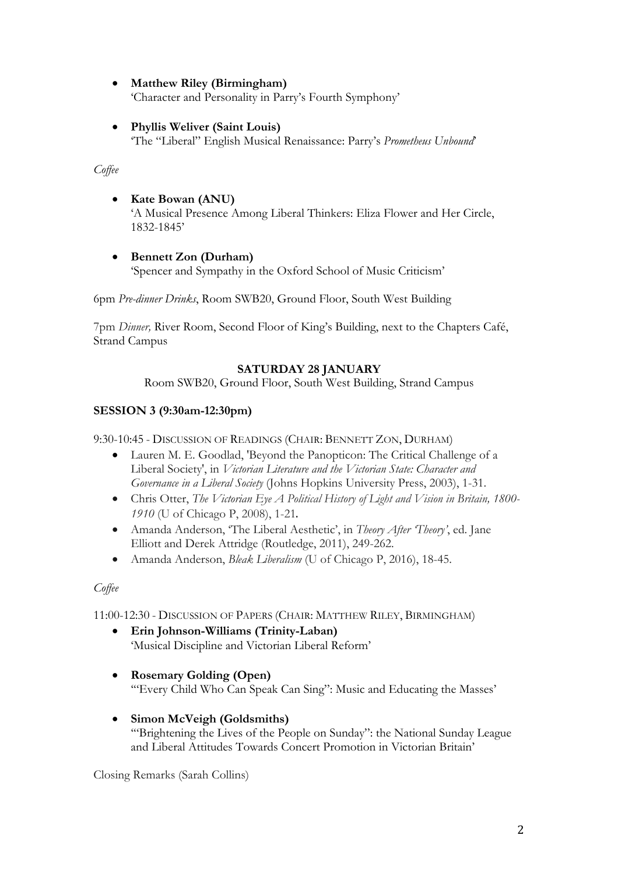- **Matthew Riley (Birmingham)** 'Character and Personality in Parry's Fourth Symphony'
- **Phyllis Weliver (Saint Louis)** 'The "Liberal" English Musical Renaissance: Parry's *Prometheus Unbound*'

*Coffee* 

- **Kate Bowan (ANU)** 'A Musical Presence Among Liberal Thinkers: Eliza Flower and Her Circle, 1832-1845'
- **Bennett Zon (Durham)** 'Spencer and Sympathy in the Oxford School of Music Criticism'

6pm *Pre-dinner Drinks*, Room SWB20, Ground Floor, South West Building

7pm *Dinner,* River Room, Second Floor of King's Building, next to the Chapters Café, Strand Campus

# **SATURDAY 28 JANUARY**

Room SWB20, Ground Floor, South West Building, Strand Campus

# **SESSION 3 (9:30am-12:30pm)**

9:30-10:45 - DISCUSSION OF READINGS (CHAIR: BENNETT ZON, DURHAM)

- Lauren M. E. Goodlad, 'Beyond the Panopticon: The Critical Challenge of a Liberal Society', in *Victorian Literature and the Victorian State: Character and Governance in a Liberal Society* (Johns Hopkins University Press, 2003), 1-31.
- Chris Otter, *The Victorian Eye A Political History of Light and Vision in Britain, 1800- 1910* (U of Chicago P, 2008), 1-21.
- Amanda Anderson, 'The Liberal Aesthetic', in *Theory After 'Theory'*, ed. Jane Elliott and Derek Attridge (Routledge, 2011), 249-262.
- Amanda Anderson, *Bleak Liberalism* (U of Chicago P, 2016), 18-45.

*Coffee* 

11:00-12:30 - DISCUSSION OF PAPERS (CHAIR: MATTHEW RILEY, BIRMINGHAM)

- **Erin Johnson-Williams (Trinity-Laban)** 'Musical Discipline and Victorian Liberal Reform'
- **Rosemary Golding (Open)** '"Every Child Who Can Speak Can Sing": Music and Educating the Masses'
- **Simon McVeigh (Goldsmiths)** '"Brightening the Lives of the People on Sunday": the National Sunday League and Liberal Attitudes Towards Concert Promotion in Victorian Britain'

Closing Remarks (Sarah Collins)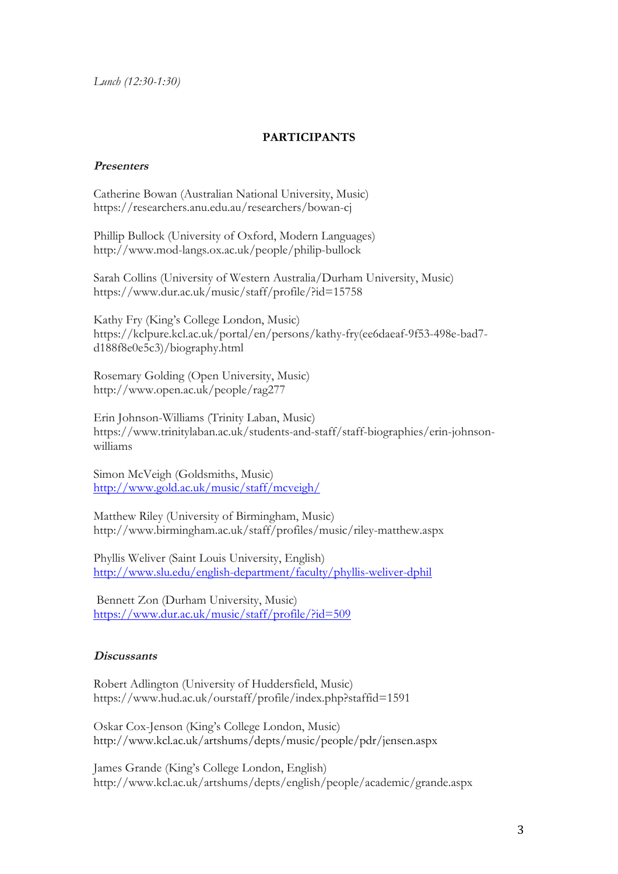*Lunch (12:30-1:30)*

## **PARTICIPANTS**

### **Presenters**

Catherine Bowan (Australian National University, Music) https://researchers.anu.edu.au/researchers/bowan-cj

Phillip Bullock (University of Oxford, Modern Languages) http://www.mod-langs.ox.ac.uk/people/philip-bullock

Sarah Collins (University of Western Australia/Durham University, Music) https://www.dur.ac.uk/music/staff/profile/?id=15758

Kathy Fry (King's College London, Music) https://kclpure.kcl.ac.uk/portal/en/persons/kathy-fry(ee6daeaf-9f53-498e-bad7 d188f8e0e5c3)/biography.html

Rosemary Golding (Open University, Music) http://www.open.ac.uk/people/rag277

Erin Johnson-Williams (Trinity Laban, Music) https://www.trinitylaban.ac.uk/students-and-staff/staff-biographies/erin-johnsonwilliams

Simon McVeigh (Goldsmiths, Music) http://www.gold.ac.uk/music/staff/mcveigh/

Matthew Riley (University of Birmingham, Music) http://www.birmingham.ac.uk/staff/profiles/music/riley-matthew.aspx

Phyllis Weliver (Saint Louis University, English) http://www.slu.edu/english-department/faculty/phyllis-weliver-dphil

Bennett Zon (Durham University, Music) https://www.dur.ac.uk/music/staff/profile/?id=509

### **Discussants**

Robert Adlington (University of Huddersfield, Music) https://www.hud.ac.uk/ourstaff/profile/index.php?staffid=1591

Oskar Cox-Jenson (King's College London, Music) http://www.kcl.ac.uk/artshums/depts/music/people/pdr/jensen.aspx

James Grande (King's College London, English) http://www.kcl.ac.uk/artshums/depts/english/people/academic/grande.aspx